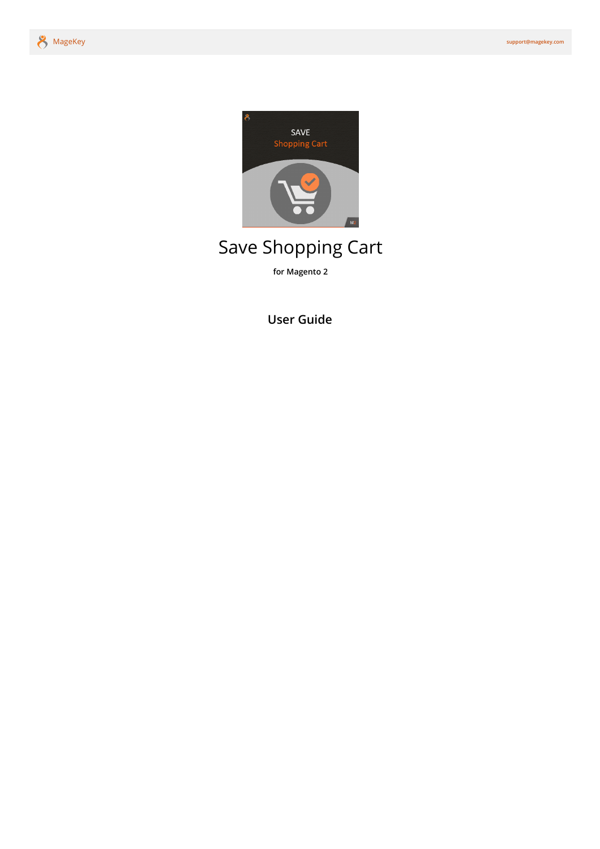

# Save Shopping Cart

**for Magento 2**

**[User Guide](#page-1-0)**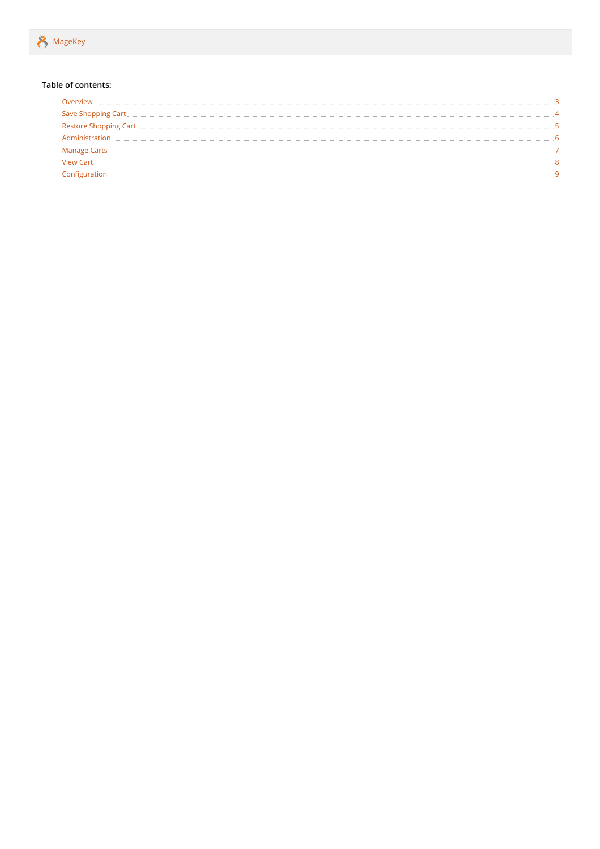#### <span id="page-1-0"></span>**Table of contents:**

| Overview                                    |  |
|---------------------------------------------|--|
|                                             |  |
| Save Shopping Cart<br>Restore Shopping Cart |  |
| Administration                              |  |
| Manage Carts                                |  |
| <b>View Cart</b>                            |  |
| Configuration                               |  |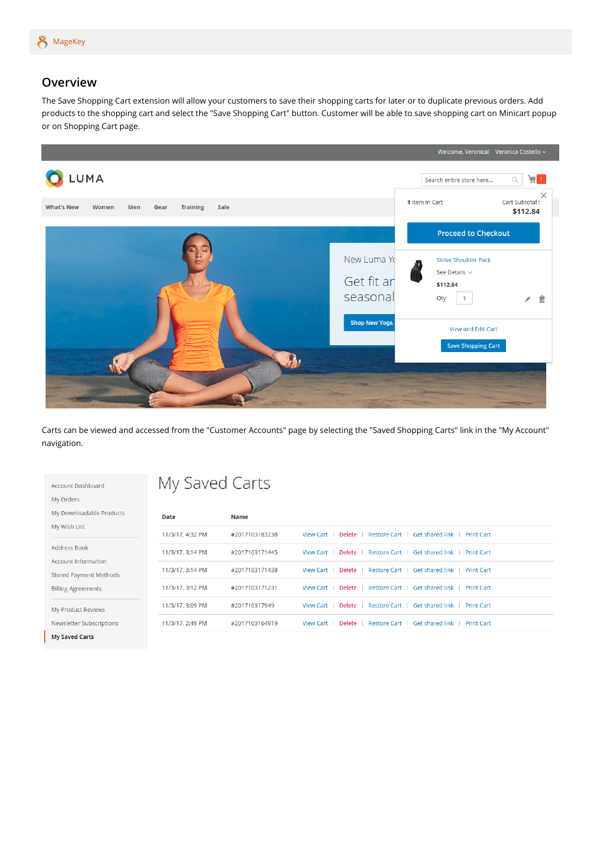

#### <span id="page-2-0"></span>**Overview**

The Save Shopping Cart extension will allow your customers to save their shopping carts for later or to duplicate previous orders. Add products to the shopping cart and select the "Save Shopping Cart" button. Customer will be able to save shopping cart on Minicart popup or on Shopping Cart page.



Carts can be viewed and accessed from the "Customer Accounts" page by selecting the "Saved Shopping Carts" link in the "My Account" navigation.

| <b>Account Dashboard</b>                          | My Saved Carts   |                |                                                   |                                      |  |  |  |
|---------------------------------------------------|------------------|----------------|---------------------------------------------------|--------------------------------------|--|--|--|
| My Orders                                         |                  |                |                                                   |                                      |  |  |  |
| My Downloadable Products                          | Date             | <b>Name</b>    |                                                   |                                      |  |  |  |
| My Wish List                                      | 11/3/17, 4:32 PM | #2017103183238 | Restore Cart<br><b>View Cart</b><br>Delete        | Get shared link<br><b>Print Cart</b> |  |  |  |
| <b>Address Book</b><br><b>Account Information</b> | 11/3/17, 3:14 PM | #2017103171445 | Restore Cart<br>Delete<br><b>View Cart</b>        | Get shared link<br><b>Print Cart</b> |  |  |  |
| <b>Stored Payment Methods</b>                     | 11/3/17, 3:14 PM | #2017103171438 | <b>Restore Cart</b><br>Delete<br><b>View Cart</b> | Get shared link<br><b>Print Cart</b> |  |  |  |
| <b>Billing Agreements</b>                         | 11/3/17, 3:12 PM | #2017103171231 | <b>Restore Cart</b><br>Delete<br><b>View Cart</b> | Get shared link<br><b>Print Cart</b> |  |  |  |
| My Product Reviews                                | 11/3/17, 3:09 PM | #201710317949  | <b>View Cart</b><br>Delete<br><b>Restore Cart</b> | Get shared link<br><b>Print Cart</b> |  |  |  |
| Newsletter Subscriptions                          | 11/3/17, 2:49 PM | #2017103164919 | Restore Cart<br><b>View Cart</b><br>Delete        | Get shared link<br><b>Print Cart</b> |  |  |  |
| <b>My Saved Carts</b>                             |                  |                |                                                   |                                      |  |  |  |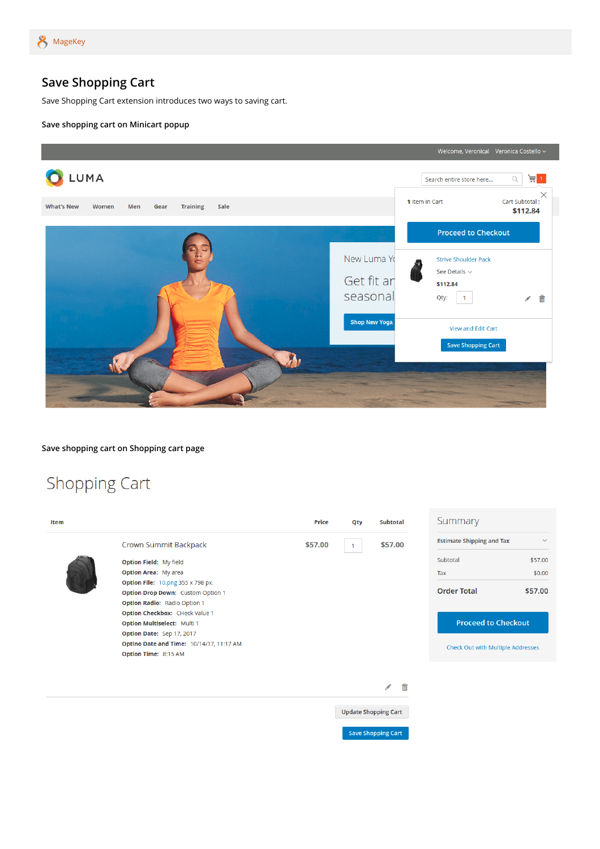

### <span id="page-3-0"></span>**Save Shopping Cart**

Save Shopping Cart extension introduces two ways to saving cart.

#### **Save shopping cart on Minicart popup**



**Save shopping cart on Shopping cart page**

## Shopping Cart

| Item |                                          | <b>Price</b> | Qty | <b>Subtotal</b>             | Summary                           |              |
|------|------------------------------------------|--------------|-----|-----------------------------|-----------------------------------|--------------|
|      | Crown Summit Backpack                    | \$57.00      |     | \$57.00                     | <b>Estimate Shipping and Tax</b>  | $\checkmark$ |
|      | Option Field: My field                   |              |     |                             | Subtotal                          | \$57.00      |
|      | <b>Option Area: My area</b>              |              |     |                             | Tax                               | \$0.00       |
|      | <b>Option File: 10.png 355 x 798 px.</b> |              |     |                             | <b>Order Total</b>                |              |
|      | Option Drop Down: Custom Option 1        |              |     |                             |                                   | \$57.00      |
|      | Option Radio: Radio Option 1             |              |     |                             |                                   |              |
|      | Option Checkbox: CHeck Value 1           |              |     |                             |                                   |              |
|      | Option Multiselect: Multi 1              |              |     |                             | <b>Proceed to Checkout</b>        |              |
|      | Option Date: Sep 17, 2017                |              |     |                             |                                   |              |
|      | Optino Date and Time: 10/14/17, 11:17 AM |              |     |                             | Check Out with Multiple Addresses |              |
|      | Option Time: 8:15 AM                     |              |     |                             |                                   |              |
|      |                                          |              |     |                             |                                   |              |
|      |                                          |              |     | 侖<br>$\mathcal{P}$          |                                   |              |
|      |                                          |              |     | <b>Update Shopping Cart</b> |                                   |              |
|      |                                          |              |     | <b>Save Shopping Cart</b>   |                                   |              |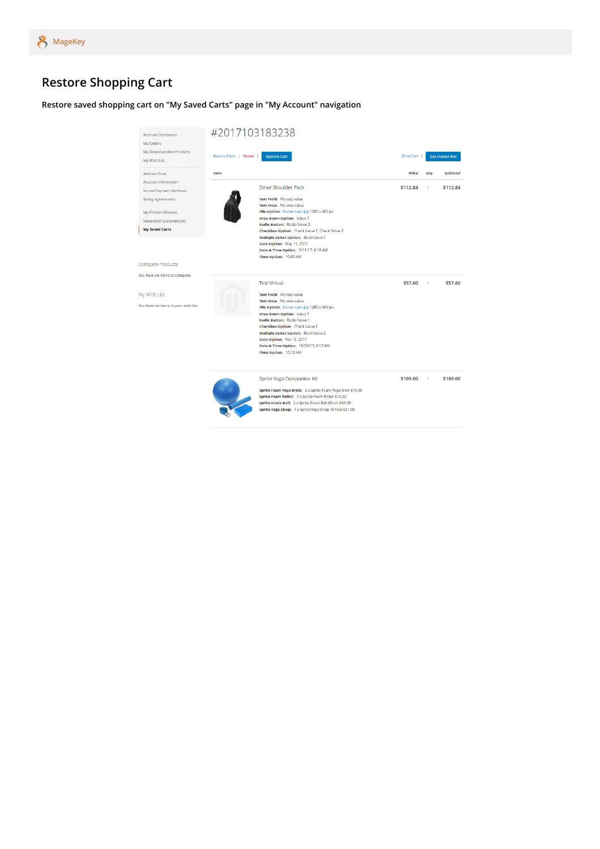## <span id="page-4-0"></span>**Restore Shopping Cart**

**Restore saved shopping cart on "My Saved Carts" page in "My Account" navigation**

| <b>Account Dashboard</b><br>My Orders             | #2017103183238                                                                                                                                                                                                                                                        |            |     |                        |
|---------------------------------------------------|-----------------------------------------------------------------------------------------------------------------------------------------------------------------------------------------------------------------------------------------------------------------------|------------|-----|------------------------|
| My Downloadable Products<br>My Wish List          | Back to Carts   Delete  <br><b>Restore Cart</b>                                                                                                                                                                                                                       | Print Cart |     | <b>Get shared link</b> |
| <b>Address Book</b><br><b>Account Information</b> | Item                                                                                                                                                                                                                                                                  | Price      | Qty | Subtotal               |
| <b>Stored Payment Methods</b>                     | <b>Strive Shoulder Pack</b>                                                                                                                                                                                                                                           | \$112.84   | 1   | \$112.84               |
| <b>Billing Agreements</b>                         | Text Field: My text value                                                                                                                                                                                                                                             |            |     |                        |
|                                                   | Text Area: My area value                                                                                                                                                                                                                                              |            |     |                        |
| My Product Reviews                                | File Option: home-main.jpg 1280 x 460 px.                                                                                                                                                                                                                             |            |     |                        |
| <b>Newsletter Subscriptions</b>                   | Drop Down Option: Value 1                                                                                                                                                                                                                                             |            |     |                        |
| <b>My Saved Carts</b>                             | Radio Button: Radio Value 2<br>Checkbox Option: Check Value 1, Check Value 2                                                                                                                                                                                          |            |     |                        |
|                                                   | Multiple Select Option: Multi Value 1                                                                                                                                                                                                                                 |            |     |                        |
|                                                   | Date Option: May 11, 2017                                                                                                                                                                                                                                             |            |     |                        |
|                                                   | Date & Time Option: 5/11/17, 9:10 AM                                                                                                                                                                                                                                  |            |     |                        |
|                                                   | Time Option: 10:00 AM                                                                                                                                                                                                                                                 |            |     |                        |
| <b>Compare Products</b>                           |                                                                                                                                                                                                                                                                       |            |     |                        |
| You have no items to compare.                     |                                                                                                                                                                                                                                                                       |            |     |                        |
|                                                   | <b>Test Virtual</b>                                                                                                                                                                                                                                                   | \$57.60    | 1   | \$57.60                |
| My Wish List                                      | Text Field: My text value                                                                                                                                                                                                                                             |            |     |                        |
|                                                   | Text Area: My area value                                                                                                                                                                                                                                              |            |     |                        |
| You have no items in your wish list.              | File Option: home-main.jpg 1280 x 460 px.                                                                                                                                                                                                                             |            |     |                        |
|                                                   | <b>Drop Down Option: Value 1</b>                                                                                                                                                                                                                                      |            |     |                        |
|                                                   | Radio Button: Radio Value 1<br>Checkbox Option: Check Value 1                                                                                                                                                                                                         |            |     |                        |
|                                                   | Multiple Select Option: Multi Value 2                                                                                                                                                                                                                                 |            |     |                        |
|                                                   | Date Option: Feb 12, 2017                                                                                                                                                                                                                                             |            |     |                        |
|                                                   | Date & Time Option: 10/26/17, 9:17 AM                                                                                                                                                                                                                                 |            |     |                        |
|                                                   | Time Option: 10:13 AM                                                                                                                                                                                                                                                 |            |     |                        |
|                                                   | Sprite Yoga Companion Kit<br>Sprite Foam Yoga Brick: 3 x Sprite Foam Yoga Brick \$15.00<br>Sprite Foam Roller: 1 x Sprite Foam Roller \$19.00<br>Sprite Stasis Ball: 2 x Sprite Stasis Ball 65 cm \$54.00<br>Sprite Yoga Strap: 1 x Sprite Yoga Strap 10 foot \$21.00 | \$109.00   | 1   | \$109.00               |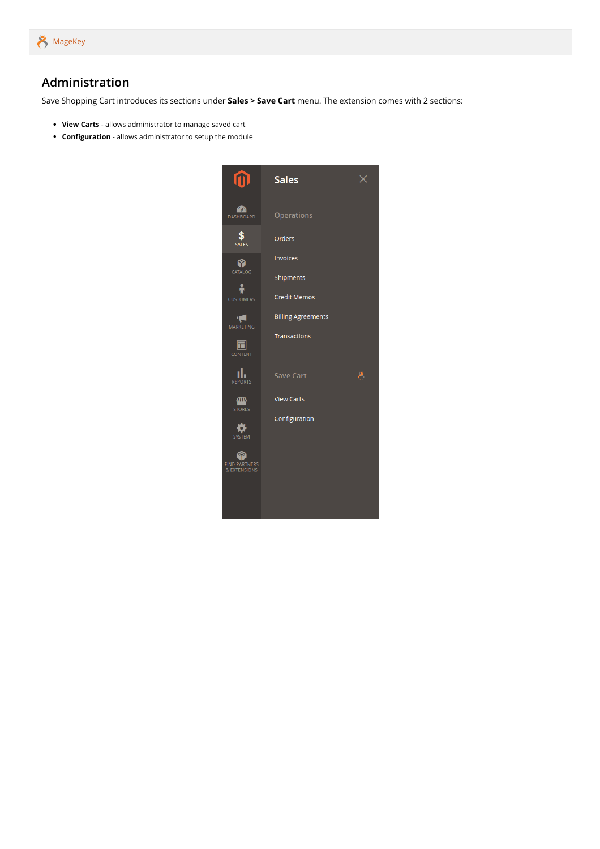

#### <span id="page-5-0"></span>**Administration**

Save Shopping Cart introduces its sections under **Sales > Save Cart** menu. The extension comes with 2 sections:

- **View Carts** allows administrator to manage saved cart
- **Configuration** allows administrator to setup the module

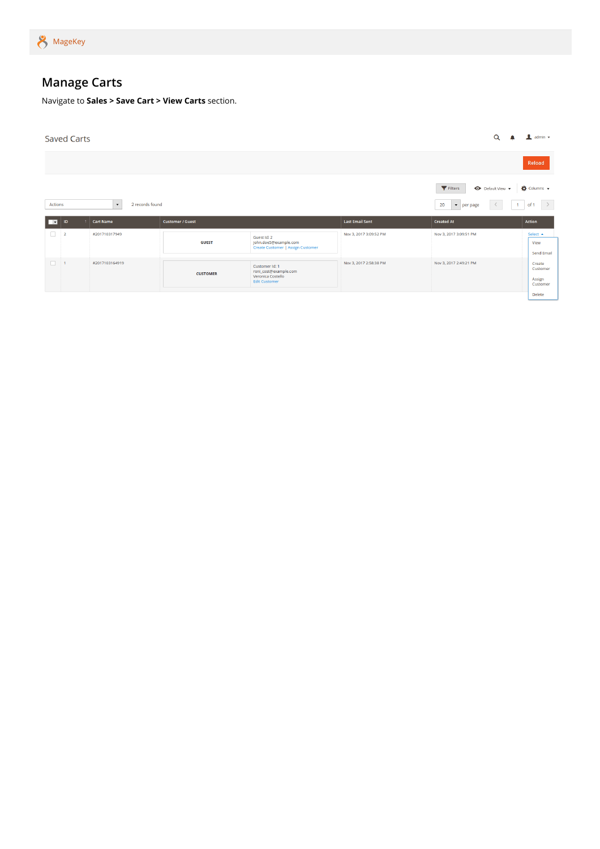

## <span id="page-6-0"></span>**Manage Carts**

Navigate to **Sales > Save Cart > View Carts** section.

|         | <b>Saved Carts</b> |                                 |                         |                                                                                      |                        | Q                                                                        | $\mathbf 1$ admin $\mathbf$                       |
|---------|--------------------|---------------------------------|-------------------------|--------------------------------------------------------------------------------------|------------------------|--------------------------------------------------------------------------|---------------------------------------------------|
|         |                    |                                 |                         |                                                                                      |                        |                                                                          | Reload                                            |
| Actions |                    | 2 records found<br>$\mathbf{v}$ |                         |                                                                                      |                        | Filters<br><b>←</b> Default View ▼<br>20<br>$\sim$<br>$\bullet$ per page | $\bullet$ Columns $\bullet$<br>of 1 $\rightarrow$ |
| ╦       | ID                 | <b>Cart Name</b>                | <b>Customer / Guest</b> |                                                                                      | <b>Last Email Sent</b> | <b>Created At</b>                                                        | <b>Action</b>                                     |
| $\Box$  |                    |                                 |                         |                                                                                      |                        |                                                                          |                                                   |
|         | $\overline{2}$     | #201710317949                   | <b>GUEST</b>            | Guest Id: 2<br>john.doe5@example.com<br>Create Customer   Assign Customer            | Nov 3, 2017 3:09:52 PM | Nov 3, 2017 3:09:51 PM                                                   | Select $\triangle$<br>View<br>Send Email          |
| $\Box$  |                    | #2017103164919                  | <b>CUSTOMER</b>         | Customer Id: 1<br>roni_cost@example.com<br>Veronica Costello<br><b>Edit Customer</b> | Nov 3, 2017 2:58:38 PM | Nov 3, 2017 2:49:21 PM                                                   | Create<br>Customer<br>Assign<br>Customer          |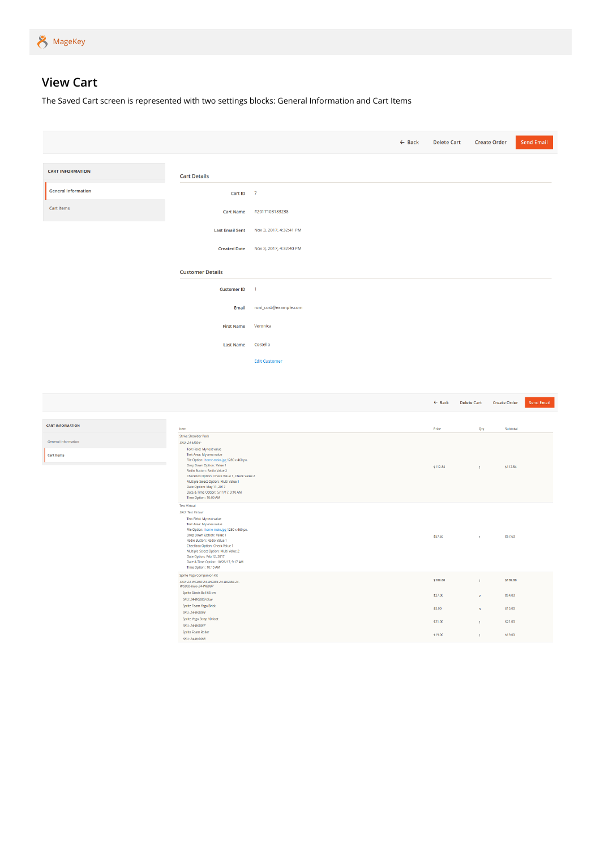

## <span id="page-7-0"></span>**View Cart**

The Saved Cart screen is represented with two settings blocks: General Information and Cart Items

|                            |                                                                                                                                                                                                                                                                                                                                                                                      |                         | $\leftarrow$ Back | <b>Delete Cart</b> | <b>Create Order</b>                       | Send Email |
|----------------------------|--------------------------------------------------------------------------------------------------------------------------------------------------------------------------------------------------------------------------------------------------------------------------------------------------------------------------------------------------------------------------------------|-------------------------|-------------------|--------------------|-------------------------------------------|------------|
|                            |                                                                                                                                                                                                                                                                                                                                                                                      |                         |                   |                    |                                           |            |
| <b>CART INFORMATION</b>    | <b>Cart Details</b>                                                                                                                                                                                                                                                                                                                                                                  |                         |                   |                    |                                           |            |
| <b>General Information</b> | Cart ID $-7$                                                                                                                                                                                                                                                                                                                                                                         |                         |                   |                    |                                           |            |
| Cart Items                 | <b>Cart Name</b>                                                                                                                                                                                                                                                                                                                                                                     | #2017103183238          |                   |                    |                                           |            |
|                            | <b>Last Email Sent</b>                                                                                                                                                                                                                                                                                                                                                               | Nov 3, 2017, 4:32:41 PM |                   |                    |                                           |            |
|                            | <b>Created Date</b>                                                                                                                                                                                                                                                                                                                                                                  | Nov 3, 2017, 4:32:40 PM |                   |                    |                                           |            |
|                            | <b>Customer Details</b>                                                                                                                                                                                                                                                                                                                                                              |                         |                   |                    |                                           |            |
|                            | <b>Customer ID</b>                                                                                                                                                                                                                                                                                                                                                                   | $\overline{1}$          |                   |                    |                                           |            |
|                            | Email                                                                                                                                                                                                                                                                                                                                                                                | roni_cost@example.com   |                   |                    |                                           |            |
|                            | <b>First Name</b>                                                                                                                                                                                                                                                                                                                                                                    | Veronica                |                   |                    |                                           |            |
|                            |                                                                                                                                                                                                                                                                                                                                                                                      | Costello                |                   |                    |                                           |            |
|                            | <b>Last Name</b>                                                                                                                                                                                                                                                                                                                                                                     | <b>Edit Customer</b>    |                   |                    |                                           |            |
|                            |                                                                                                                                                                                                                                                                                                                                                                                      |                         |                   |                    |                                           |            |
|                            |                                                                                                                                                                                                                                                                                                                                                                                      |                         |                   |                    |                                           |            |
|                            |                                                                                                                                                                                                                                                                                                                                                                                      |                         |                   | $\leftarrow$ Back  | <b>Delete Cart</b><br><b>Create Order</b> | Send Email |
| <b>CART INFORMATION</b>    | Item                                                                                                                                                                                                                                                                                                                                                                                 |                         |                   | Price              | Qty<br>Subtotal                           |            |
| General Information        | <b>Strive Shoulder Pack</b><br>SKU: 24-MB04--                                                                                                                                                                                                                                                                                                                                        |                         |                   |                    |                                           |            |
| <b>Cart Items</b>          | Text Field: My text value<br>Text Area: My area value<br>File Option: home-main.jpg 1280 x 460 px.<br>Drop Down Option: Value 1<br>Radio Button: Radio Value 2<br>Checkbox Option: Check Value 1, Check Value 2<br>Multiple Select Option: Multi Value 1<br>Date Option: May 11, 2017<br>Date & Time Option: 5/11/17, 9:10 AM<br>Time Option: 10:00 AM                               |                         |                   | \$112.84           | \$112.84<br>$\mathbf{1}^{\top}$           |            |
|                            | <b>Test Virtual</b><br>SKU: Test Virtual<br>Text Field: My text value<br>Text Area: My area value<br>File Option: home-main.jpg 1280 x 460 px.<br>Drop Down Option: Value 1<br>Radio Button: Radio Value 1<br>Checkbox Option: Check Value 1<br>Multiple Select Option: Multi Value 2<br>Date Option: Feb 12, 2017<br>Date & Time Option: 10/26/17, 9:17 AM<br>Time Option: 10:13 AM |                         |                   | \$57.60            | \$57.60<br>$\mathbf{1}$ .                 |            |
|                            | Sprite Yoga Companion Kit<br>SKU: 24-WG080-24-WG084-24-WG088-24-<br>WG082-blue-24-WG087                                                                                                                                                                                                                                                                                              |                         |                   | \$109.00           | \$109.00<br>$\mathbf{1}$                  |            |
|                            | Sprite Stasis Ball 65 cm<br>SKU: 24-WG082-blue                                                                                                                                                                                                                                                                                                                                       |                         |                   | \$27.00            | \$54.00<br>$\overline{2}$                 |            |
|                            | Sprite Foam Yoga Brick<br>SKU: 24-WG084                                                                                                                                                                                                                                                                                                                                              |                         |                   | \$5.00             | \$15.00<br>$\overline{\mathbf{3}}$        |            |
|                            | Sprite Yoga Strap 10 foot<br>SKU: 24-WG087                                                                                                                                                                                                                                                                                                                                           |                         |                   | \$21.00            | \$21.00<br>$\overline{1}$                 |            |
|                            | Sprite Foam Roller<br>SKU: 24-WG088                                                                                                                                                                                                                                                                                                                                                  |                         |                   | \$19.00            | \$19.00<br>$\mathbf{A}$                   |            |